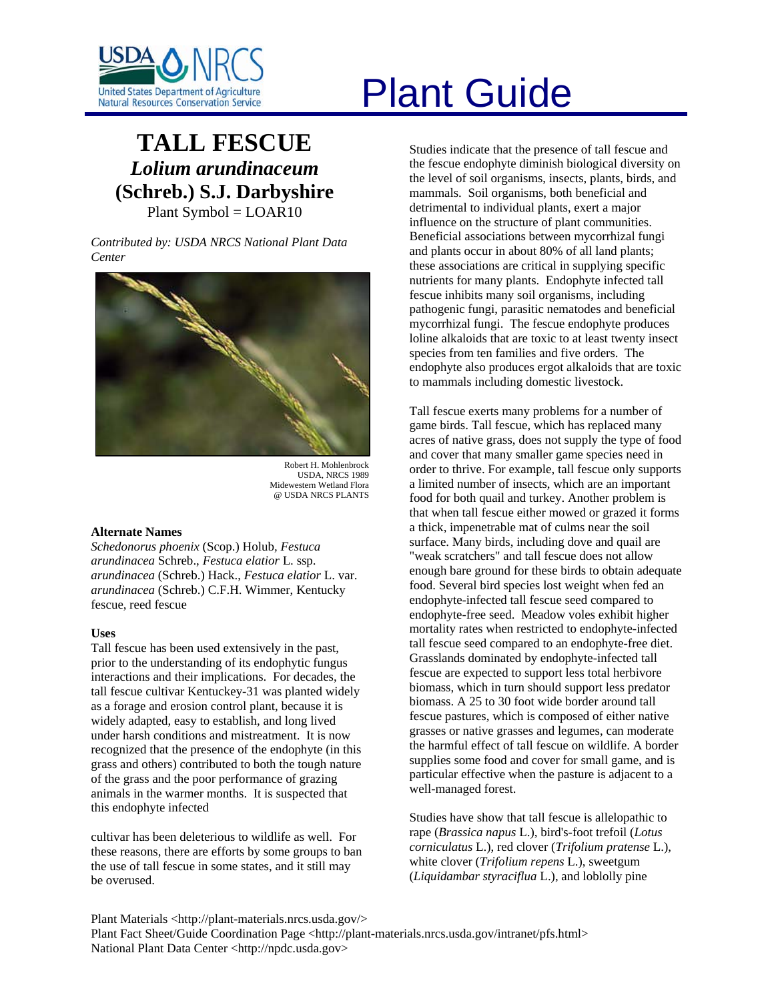

# **TALL FESCUE** *Lolium arundinaceum* **(Schreb.) S.J. Darbyshire**  Plant Symbol = LOAR10

*Contributed by: USDA NRCS National Plant Data Center* 



Robert H. Mohlenbrock USDA, NRCS 1989 Midewestern Wetland Flora @ USDA NRCS PLANTS

# **Alternate Names**

*Schedonorus phoenix* (Scop.) Holub*, Festuca arundinacea* Schreb., *Festuca elatior* L. ssp. *arundinacea* (Schreb.) Hack., *Festuca elatior* L. var. *arundinacea* (Schreb.) C.F.H. Wimmer, Kentucky fescue, reed fescue

# **Uses**

Tall fescue has been used extensively in the past, prior to the understanding of its endophytic fungus interactions and their implications. For decades, the tall fescue cultivar Kentuckey-31 was planted widely as a forage and erosion control plant, because it is widely adapted, easy to establish, and long lived under harsh conditions and mistreatment. It is now recognized that the presence of the endophyte (in this grass and others) contributed to both the tough nature of the grass and the poor performance of grazing animals in the warmer months. It is suspected that this endophyte infected

cultivar has been deleterious to wildlife as well. For these reasons, there are efforts by some groups to ban the use of tall fescue in some states, and it still may be overused.

Studies indicate that the presence of tall fescue and the fescue endophyte diminish biological diversity on the level of soil organisms, insects, plants, birds, and mammals. Soil organisms, both beneficial and detrimental to individual plants, exert a major influence on the structure of plant communities. Beneficial associations between mycorrhizal fungi and plants occur in about 80% of all land plants; these associations are critical in supplying specific nutrients for many plants. Endophyte infected tall fescue inhibits many soil organisms, including pathogenic fungi, parasitic nematodes and beneficial mycorrhizal fungi. The fescue endophyte produces loline alkaloids that are toxic to at least twenty insect species from ten families and five orders. The endophyte also produces ergot alkaloids that are toxic to mammals including domestic livestock.

Tall fescue exerts many problems for a number of game birds. Tall fescue, which has replaced many acres of native grass, does not supply the type of food and cover that many smaller game species need in order to thrive. For example, tall fescue only supports a limited number of insects, which are an important food for both quail and turkey. Another problem is that when tall fescue either mowed or grazed it forms a thick, impenetrable mat of culms near the soil surface. Many birds, including dove and quail are "weak scratchers" and tall fescue does not allow enough bare ground for these birds to obtain adequate food. Several bird species lost weight when fed an endophyte-infected tall fescue seed compared to endophyte-free seed. Meadow voles exhibit higher mortality rates when restricted to endophyte-infected tall fescue seed compared to an endophyte-free diet. Grasslands dominated by endophyte-infected tall fescue are expected to support less total herbivore biomass, which in turn should support less predator biomass. A 25 to 30 foot wide border around tall fescue pastures, which is composed of either native grasses or native grasses and legumes, can moderate the harmful effect of tall fescue on wildlife. A border supplies some food and cover for small game, and is particular effective when the pasture is adjacent to a well-managed forest.

Studies have show that tall fescue is allelopathic to rape (*Brassica napus* L.), bird's-foot trefoil (*Lotus corniculatus* L.), red clover (*Trifolium pratense* L.), white clover (*Trifolium repens* L.), sweetgum (*Liquidambar styraciflua* L.), and loblolly pine

Plant Materials <http://plant-materials.nrcs.usda.gov/> Plant Fact Sheet/Guide Coordination Page <http://plant-materials.nrcs.usda.gov/intranet/pfs.html> National Plant Data Center <http://npdc.usda.gov>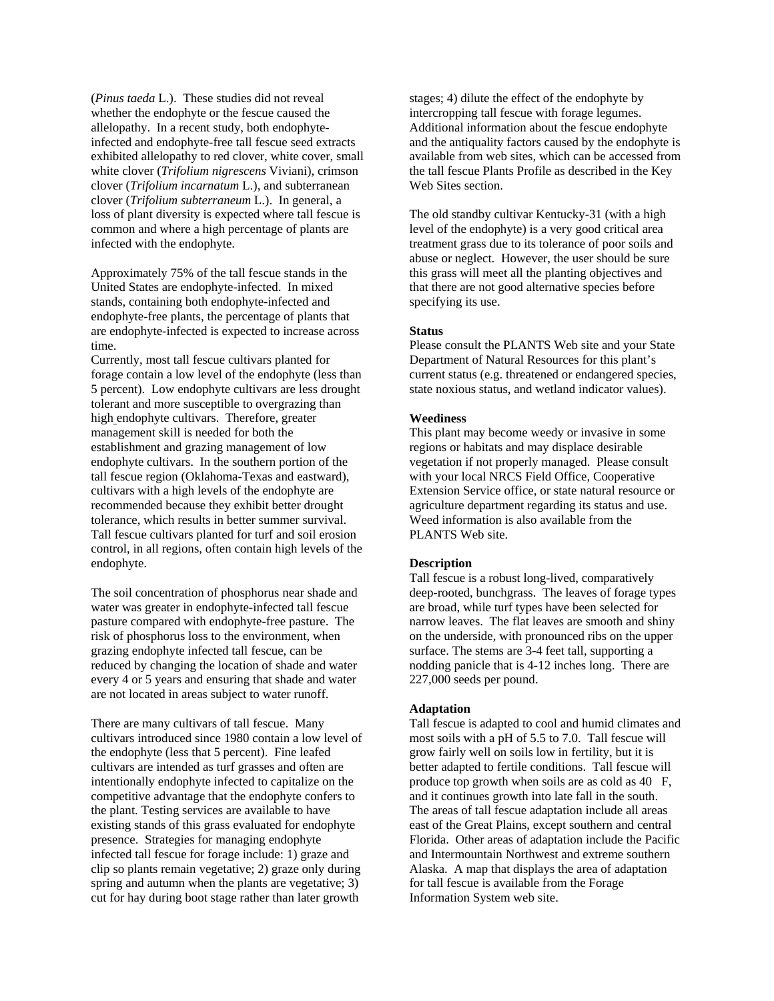(*Pinus taeda* L.). These studies did not reveal whether the endophyte or the fescue caused the allelopathy. In a recent study, both endophyteinfected and endophyte-free tall fescue seed extracts exhibited allelopathy to red clover, white cover, small white clover (*Trifolium nigrescens* Viviani), crimson clover (*Trifolium incarnatum* L.), and subterranean clover (*Trifolium subterraneum* L.). In general, a loss of plant diversity is expected where tall fescue is common and where a high percentage of plants are infected with the endophyte.

Approximately 75% of the tall fescue stands in the United States are endophyte-infected. In mixed stands, containing both endophyte-infected and endophyte-free plants, the percentage of plants that are endophyte-infected is expected to increase across time.

Currently, most tall fescue cultivars planted for forage contain a low level of the endophyte (less than 5 percent). Low endophyte cultivars are less drought tolerant and more susceptible to overgrazing than high endophyte cultivars. Therefore, greater management skill is needed for both the establishment and grazing management of low endophyte cultivars. In the southern portion of the tall fescue region (Oklahoma-Texas and eastward), cultivars with a high levels of the endophyte are recommended because they exhibit better drought tolerance, which results in better summer survival. Tall fescue cultivars planted for turf and soil erosion control, in all regions, often contain high levels of the endophyte.

The soil concentration of phosphorus near shade and water was greater in endophyte-infected tall fescue pasture compared with endophyte-free pasture. The risk of phosphorus loss to the environment, when grazing endophyte infected tall fescue, can be reduced by changing the location of shade and water every 4 or 5 years and ensuring that shade and water are not located in areas subject to water runoff.

There are many cultivars of tall fescue. Many cultivars introduced since 1980 contain a low level of the endophyte (less that 5 percent). Fine leafed cultivars are intended as turf grasses and often are intentionally endophyte infected to capitalize on the competitive advantage that the endophyte confers to the plant. Testing services are available to have existing stands of this grass evaluated for endophyte presence. Strategies for managing endophyte infected tall fescue for forage include: 1) graze and clip so plants remain vegetative; 2) graze only during spring and autumn when the plants are vegetative; 3) cut for hay during boot stage rather than later growth

stages; 4) dilute the effect of the endophyte by intercropping tall fescue with forage legumes. Additional information about the fescue endophyte and the antiquality factors caused by the endophyte is available from web sites, which can be accessed from the tall fescue Plants Profile as described in the Key Web Sites section.

The old standby cultivar Kentucky-31 (with a high level of the endophyte) is a very good critical area treatment grass due to its tolerance of poor soils and abuse or neglect. However, the user should be sure this grass will meet all the planting objectives and that there are not good alternative species before specifying its use.

#### **Status**

Please consult the PLANTS Web site and your State Department of Natural Resources for this plant's current status (e.g. threatened or endangered species, state noxious status, and wetland indicator values).

# **Weediness**

This plant may become weedy or invasive in some regions or habitats and may displace desirable vegetation if not properly managed. Please consult with your local NRCS Field Office, Cooperative Extension Service office, or state natural resource or agriculture department regarding its status and use. Weed information is also available from the PLANTS Web site.

#### **Description**

Tall fescue is a robust long-lived, comparatively deep-rooted, bunchgrass. The leaves of forage types are broad, while turf types have been selected for narrow leaves. The flat leaves are smooth and shiny on the underside, with pronounced ribs on the upper surface. The stems are 3-4 feet tall, supporting a nodding panicle that is 4-12 inches long. There are 227,000 seeds per pound.

# **Adaptation**

Tall fescue is adapted to cool and humid climates and most soils with a pH of 5.5 to 7.0. Tall fescue will grow fairly well on soils low in fertility, but it is better adapted to fertile conditions. Tall fescue will produce top growth when soils are as cold as 40 F, and it continues growth into late fall in the south. The areas of tall fescue adaptation include all areas east of the Great Plains, except southern and central Florida. Other areas of adaptation include the Pacific and Intermountain Northwest and extreme southern Alaska. A map that displays the area of adaptation for tall fescue is available from the Forage Information System web site.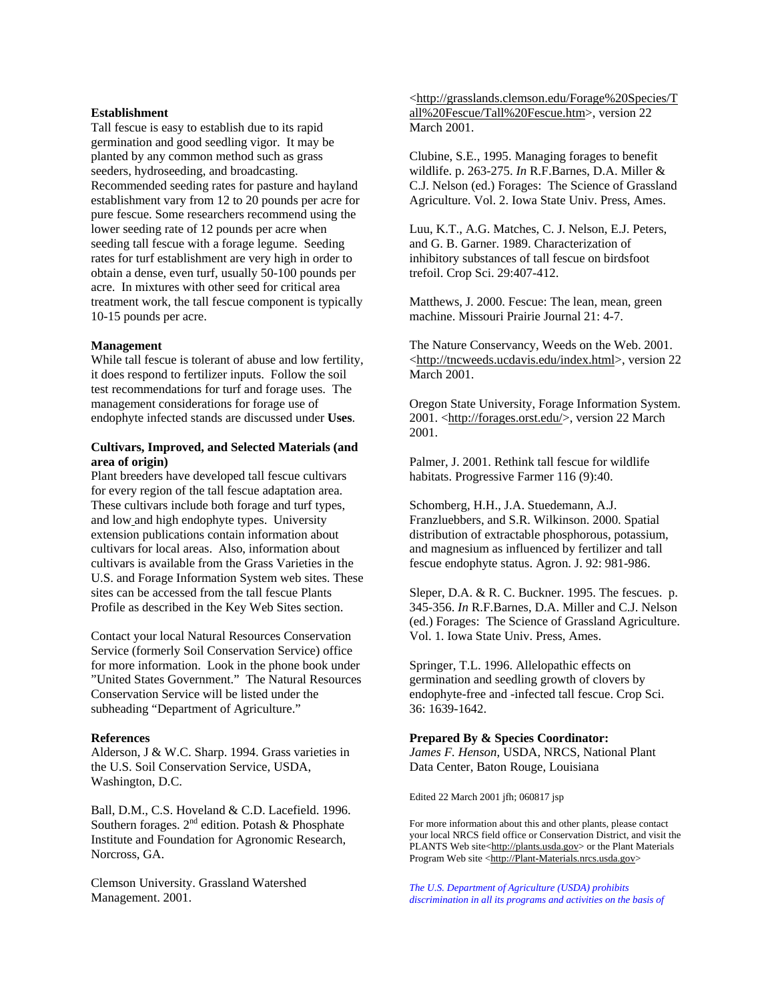### **Establishment**

Tall fescue is easy to establish due to its rapid germination and good seedling vigor. It may be planted by any common method such as grass seeders, hydroseeding, and broadcasting. Recommended seeding rates for pasture and hayland establishment vary from 12 to 20 pounds per acre for pure fescue. Some researchers recommend using the lower seeding rate of 12 pounds per acre when seeding tall fescue with a forage legume. Seeding rates for turf establishment are very high in order to obtain a dense, even turf, usually 50-100 pounds per acre. In mixtures with other seed for critical area treatment work, the tall fescue component is typically 10-15 pounds per acre.

#### **Management**

While tall fescue is tolerant of abuse and low fertility, it does respond to fertilizer inputs. Follow the soil test recommendations for turf and forage uses. The management considerations for forage use of endophyte infected stands are discussed under **Uses**.

# **Cultivars, Improved, and Selected Materials (and area of origin)**

Plant breeders have developed tall fescue cultivars for every region of the tall fescue adaptation area. These cultivars include both forage and turf types, and low and high endophyte types. University extension publications contain information about cultivars for local areas. Also, information about cultivars is available from the Grass Varieties in the U.S. and Forage Information System web sites. These sites can be accessed from the tall fescue Plants Profile as described in the Key Web Sites section.

Contact your local Natural Resources Conservation Service (formerly Soil Conservation Service) office for more information. Look in the phone book under "United States Government." The Natural Resources Conservation Service will be listed under the subheading "Department of Agriculture."

#### **References**

Alderson, J & W.C. Sharp. 1994. Grass varieties in the U.S. Soil Conservation Service, USDA, Washington, D.C.

Ball, D.M., C.S. Hoveland & C.D. Lacefield. 1996. Southern forages.  $2^{nd}$  edition. Potash & Phosphate Institute and Foundation for Agronomic Research, Norcross, GA.

Clemson University. Grassland Watershed Management. 2001.

<[http://grasslands.clemson.edu/Forage%20Species/T](http://grasslands.clemson.edu/Forage%20Species/Tall%20Fescue/Tall%20Fescue.htm) [all%20Fescue/Tall%20Fescue.htm](http://grasslands.clemson.edu/Forage%20Species/Tall%20Fescue/Tall%20Fescue.htm)>, version 22 March 2001.

Clubine, S.E., 1995. Managing forages to benefit wildlife. p. 263-275. *In* R.F.Barnes, D.A. Miller & C.J. Nelson (ed.) Forages: The Science of Grassland Agriculture. Vol. 2. Iowa State Univ. Press, Ames.

Luu, K.T., A.G. Matches, C. J. Nelson, E.J. Peters, and G. B. Garner. 1989. Characterization of inhibitory substances of tall fescue on birdsfoot trefoil. Crop Sci. 29:407-412.

Matthews, J. 2000. Fescue: The lean, mean, green machine. Missouri Prairie Journal 21: 4-7.

The Nature Conservancy, Weeds on the Web. 2001. <<http://tncweeds.ucdavis.edu/index.html>>, version 22 March 2001.

Oregon State University, Forage Information System. 2001. <<http://forages.orst.edu/>>, version 22 March 2001.

Palmer, J. 2001. Rethink tall fescue for wildlife habitats. Progressive Farmer 116 (9):40.

Schomberg, H.H., J.A. Stuedemann, A.J. Franzluebbers, and S.R. Wilkinson. 2000. Spatial distribution of extractable phosphorous, potassium, and magnesium as influenced by fertilizer and tall fescue endophyte status. Agron. J. 92: 981-986.

Sleper, D.A. & R. C. Buckner. 1995. The fescues. p. 345-356. *In* R.F.Barnes, D.A. Miller and C.J. Nelson (ed.) Forages: The Science of Grassland Agriculture. Vol. 1. Iowa State Univ. Press, Ames.

Springer, T.L. 1996. Allelopathic effects on germination and seedling growth of clovers by endophyte-free and -infected tall fescue. Crop Sci. 36: 1639-1642.

# **Prepared By & Species Coordinator:**

*James F. Henson*, USDA, NRCS, National Plant Data Center, Baton Rouge, Louisiana

Edited 22 March 2001 jfh; 060817 jsp

For more information about this and other plants, please contact your local NRCS field office or Conservation District, and visit the PLANTS Web site<[http://plants.usda.gov>](http://plants.usda.gov/) or the Plant Materials Program Web site [<http://Plant-Materials.nrcs.usda.gov>](http://plant-materials.nrcs.usda.gov/)

*The U.S. Department of Agriculture (USDA) prohibits discrimination in all its programs and activities on the basis of*